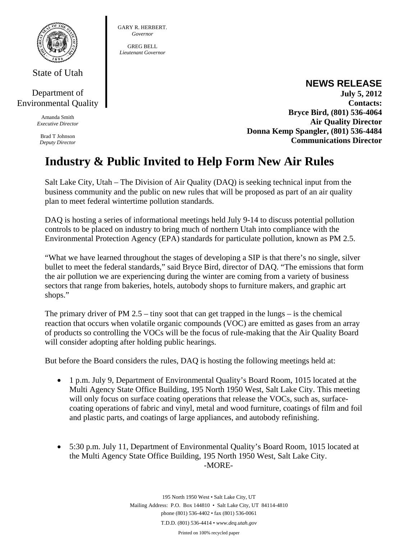

State of Utah

## Department of Environmental Quality

Amanda Smith *Executive Director* 

Brad T Johnson *Deputy Director* 

#### GARY R. HERBERT. *Governor*

GREG BELL *Lieutenant Governor* 

### **NEWS RELEASE July 5, 2012 Contacts: Bryce Bird, (801) 536-4064 Air Quality Director Donna Kemp Spangler, (801) 536-4484 Communications Director**

# **Industry & Public Invited to Help Form New Air Rules**

Salt Lake City, Utah – The Division of Air Quality (DAQ) is seeking technical input from the business community and the public on new rules that will be proposed as part of an air quality plan to meet federal wintertime pollution standards.

DAQ is hosting a series of informational meetings held July 9-14 to discuss potential pollution controls to be placed on industry to bring much of northern Utah into compliance with the Environmental Protection Agency (EPA) standards for particulate pollution, known as PM 2.5.

"What we have learned throughout the stages of developing a SIP is that there's no single, silver bullet to meet the federal standards," said Bryce Bird, director of DAQ. "The emissions that form the air pollution we are experiencing during the winter are coming from a variety of business sectors that range from bakeries, hotels, autobody shops to furniture makers, and graphic art shops."

The primary driver of PM  $2.5 -$  tiny soot that can get trapped in the lungs – is the chemical reaction that occurs when volatile organic compounds (VOC) are emitted as gases from an array of products so controlling the VOCs will be the focus of rule-making that the Air Quality Board will consider adopting after holding public hearings.

But before the Board considers the rules, DAQ is hosting the following meetings held at:

- 1 p.m. July 9, Department of Environmental Quality's Board Room, 1015 located at the Multi Agency State Office Building, 195 North 1950 West, Salt Lake City. This meeting will only focus on surface coating operations that release the VOCs, such as, surfacecoating operations of fabric and vinyl, metal and wood furniture, coatings of film and foil and plastic parts, and coatings of large appliances, and autobody refinishing.
- 5:30 p.m. July 11, Department of Environmental Quality's Board Room, 1015 located at the Multi Agency State Office Building, 195 North 1950 West, Salt Lake City. -MORE-

195 North 1950 West • Salt Lake City, UT Mailing Address: P.O. Box 144810 • Salt Lake City, UT 84114-4810 phone (801) 536-4402 • fax (801) 536-0061 T.D.D. (801) 536-4414 • *www.deq.utah.gov*  Printed on 100% recycled paper